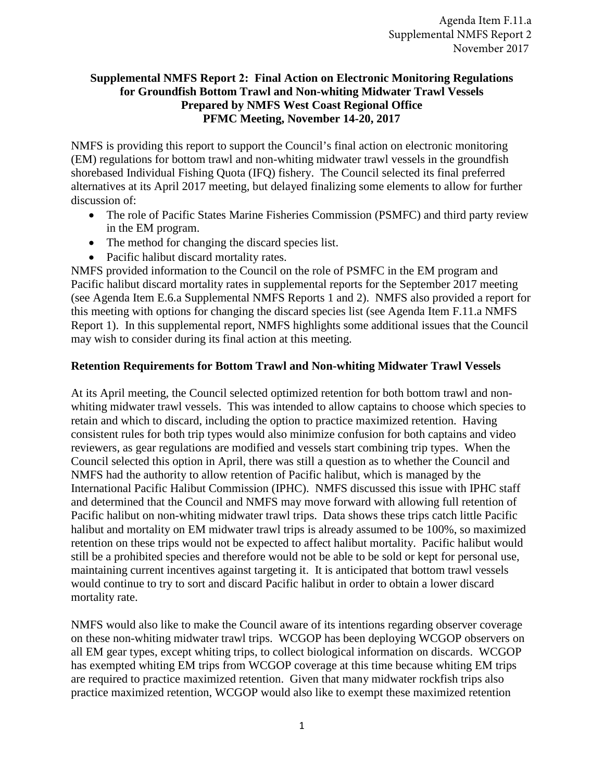### **Supplemental NMFS Report 2: Final Action on Electronic Monitoring Regulations for Groundfish Bottom Trawl and Non-whiting Midwater Trawl Vessels Prepared by NMFS West Coast Regional Office PFMC Meeting, November 14-20, 2017**

NMFS is providing this report to support the Council's final action on electronic monitoring (EM) regulations for bottom trawl and non-whiting midwater trawl vessels in the groundfish shorebased Individual Fishing Quota (IFQ) fishery. The Council selected its final preferred alternatives at its April 2017 meeting, but delayed finalizing some elements to allow for further discussion of:

- The role of Pacific States Marine Fisheries Commission (PSMFC) and third party review in the EM program.
- The method for changing the discard species list.
- Pacific halibut discard mortality rates.

NMFS provided information to the Council on the role of PSMFC in the EM program and Pacific halibut discard mortality rates in supplemental reports for the September 2017 meeting (see Agenda Item E.6.a Supplemental NMFS Reports 1 and 2). NMFS also provided a report for this meeting with options for changing the discard species list (see Agenda Item F.11.a NMFS Report 1). In this supplemental report, NMFS highlights some additional issues that the Council may wish to consider during its final action at this meeting.

## **Retention Requirements for Bottom Trawl and Non-whiting Midwater Trawl Vessels**

At its April meeting, the Council selected optimized retention for both bottom trawl and nonwhiting midwater trawl vessels. This was intended to allow captains to choose which species to retain and which to discard, including the option to practice maximized retention. Having consistent rules for both trip types would also minimize confusion for both captains and video reviewers, as gear regulations are modified and vessels start combining trip types. When the Council selected this option in April, there was still a question as to whether the Council and NMFS had the authority to allow retention of Pacific halibut, which is managed by the International Pacific Halibut Commission (IPHC). NMFS discussed this issue with IPHC staff and determined that the Council and NMFS may move forward with allowing full retention of Pacific halibut on non-whiting midwater trawl trips. Data shows these trips catch little Pacific halibut and mortality on EM midwater trawl trips is already assumed to be 100%, so maximized retention on these trips would not be expected to affect halibut mortality. Pacific halibut would still be a prohibited species and therefore would not be able to be sold or kept for personal use, maintaining current incentives against targeting it. It is anticipated that bottom trawl vessels would continue to try to sort and discard Pacific halibut in order to obtain a lower discard mortality rate.

NMFS would also like to make the Council aware of its intentions regarding observer coverage on these non-whiting midwater trawl trips. WCGOP has been deploying WCGOP observers on all EM gear types, except whiting trips, to collect biological information on discards. WCGOP has exempted whiting EM trips from WCGOP coverage at this time because whiting EM trips are required to practice maximized retention. Given that many midwater rockfish trips also practice maximized retention, WCGOP would also like to exempt these maximized retention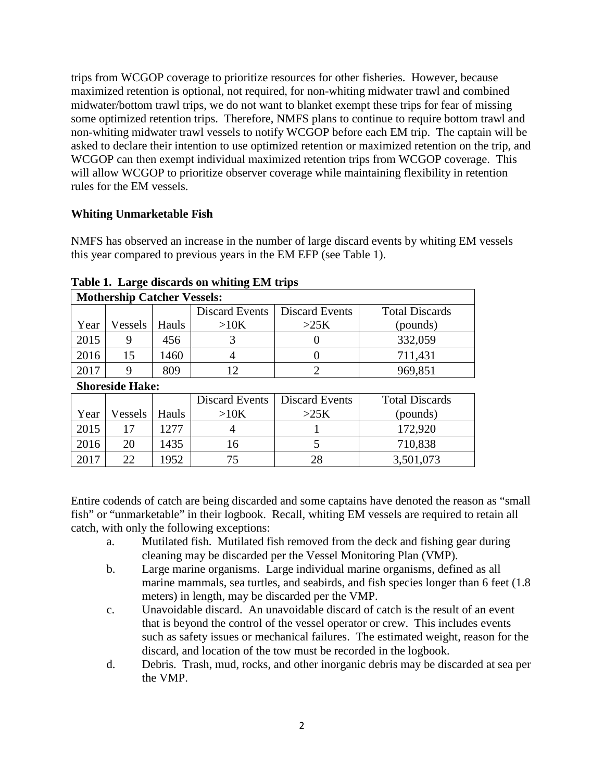trips from WCGOP coverage to prioritize resources for other fisheries. However, because maximized retention is optional, not required, for non-whiting midwater trawl and combined midwater/bottom trawl trips, we do not want to blanket exempt these trips for fear of missing some optimized retention trips. Therefore, NMFS plans to continue to require bottom trawl and non-whiting midwater trawl vessels to notify WCGOP before each EM trip. The captain will be asked to declare their intention to use optimized retention or maximized retention on the trip, and WCGOP can then exempt individual maximized retention trips from WCGOP coverage. This will allow WCGOP to prioritize observer coverage while maintaining flexibility in retention rules for the EM vessels.

### **Whiting Unmarketable Fish**

NMFS has observed an increase in the number of large discard events by whiting EM vessels this year compared to previous years in the EM EFP (see Table 1).

| <b>Mothership Catcher Vessels:</b> |         |       |                |                |                       |  |  |
|------------------------------------|---------|-------|----------------|----------------|-----------------------|--|--|
|                                    |         |       | Discard Events | Discard Events | <b>Total Discards</b> |  |  |
| Year                               | Vessels | Hauls | >10K           | >25K           | (pounds)              |  |  |
| 2015                               |         | 456   |                |                | 332,059               |  |  |
| 2016                               | 15      | 1460  |                |                | 711,431               |  |  |
| 2017                               |         | 809   |                |                | 969,851               |  |  |

**Table 1. Large discards on whiting EM trips** 

#### **Shoreside Hake:**

|      |        |       | Discard Events | Discard Events | <b>Total Discards</b> |
|------|--------|-------|----------------|----------------|-----------------------|
| Year | essels | Hauls | >10K           | >25K           | (pounds)              |
| 2015 |        | .277  |                |                | 172,920               |
| 2016 | 20     | 1435  | ∣ ဂ            |                | 710,838               |
| 2017 | つつ     | 1952  |                |                | 3,501,073             |

Entire codends of catch are being discarded and some captains have denoted the reason as "small fish" or "unmarketable" in their logbook. Recall, whiting EM vessels are required to retain all catch, with only the following exceptions:

- a. Mutilated fish. Mutilated fish removed from the deck and fishing gear during cleaning may be discarded per the Vessel Monitoring Plan (VMP).
- b. Large marine organisms. Large individual marine organisms, defined as all marine mammals, sea turtles, and seabirds, and fish species longer than 6 feet (1.8) meters) in length, may be discarded per the VMP.
- c. Unavoidable discard. An unavoidable discard of catch is the result of an event that is beyond the control of the vessel operator or crew. This includes events such as safety issues or mechanical failures. The estimated weight, reason for the discard, and location of the tow must be recorded in the logbook.
- d. Debris. Trash, mud, rocks, and other inorganic debris may be discarded at sea per the VMP.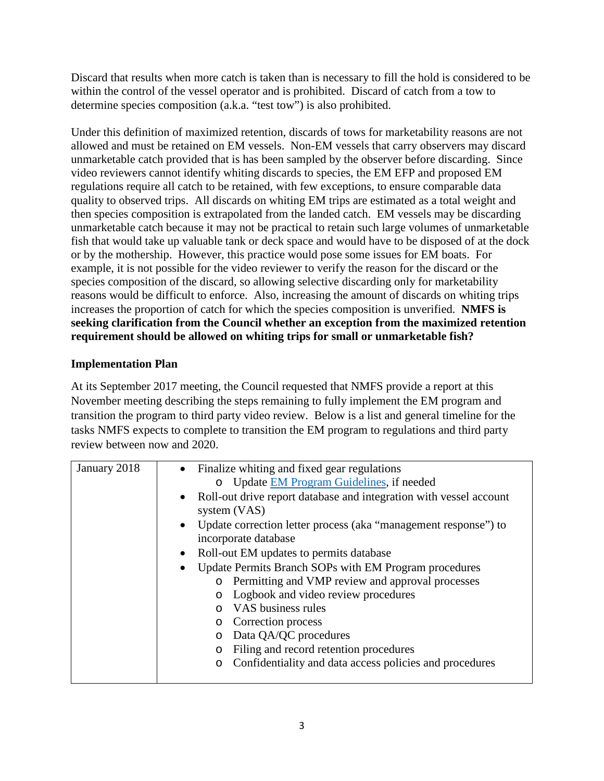Discard that results when more catch is taken than is necessary to fill the hold is considered to be within the control of the vessel operator and is prohibited. Discard of catch from a tow to determine species composition (a.k.a. "test tow") is also prohibited.

Under this definition of maximized retention, discards of tows for marketability reasons are not allowed and must be retained on EM vessels. Non-EM vessels that carry observers may discard unmarketable catch provided that is has been sampled by the observer before discarding. Since video reviewers cannot identify whiting discards to species, the EM EFP and proposed EM regulations require all catch to be retained, with few exceptions, to ensure comparable data quality to observed trips. All discards on whiting EM trips are estimated as a total weight and then species composition is extrapolated from the landed catch. EM vessels may be discarding unmarketable catch because it may not be practical to retain such large volumes of unmarketable fish that would take up valuable tank or deck space and would have to be disposed of at the dock or by the mothership. However, this practice would pose some issues for EM boats. For example, it is not possible for the video reviewer to verify the reason for the discard or the species composition of the discard, so allowing selective discarding only for marketability reasons would be difficult to enforce. Also, increasing the amount of discards on whiting trips increases the proportion of catch for which the species composition is unverified. **NMFS is seeking clarification from the Council whether an exception from the maximized retention requirement should be allowed on whiting trips for small or unmarketable fish?**

# **Implementation Plan**

At its September 2017 meeting, the Council requested that NMFS provide a report at this November meeting describing the steps remaining to fully implement the EM program and transition the program to third party video review. Below is a list and general timeline for the tasks NMFS expects to complete to transition the EM program to regulations and third party review between now and 2020.

| January 2018 | Finalize whiting and fixed gear regulations                                                                          |  |  |  |  |
|--------------|----------------------------------------------------------------------------------------------------------------------|--|--|--|--|
|              | o Update EM Program Guidelines, if needed                                                                            |  |  |  |  |
|              | Roll-out drive report database and integration with vessel account<br>$\bullet$                                      |  |  |  |  |
|              | system (VAS)<br>Update correction letter process (aka "management response") to<br>$\bullet$<br>incorporate database |  |  |  |  |
|              |                                                                                                                      |  |  |  |  |
|              |                                                                                                                      |  |  |  |  |
|              | Roll-out EM updates to permits database                                                                              |  |  |  |  |
|              | Update Permits Branch SOPs with EM Program procedures<br>$\bullet$                                                   |  |  |  |  |
|              | Permitting and VMP review and approval processes<br>$\circ$                                                          |  |  |  |  |
|              | Logbook and video review procedures<br>$\circ$                                                                       |  |  |  |  |
|              | VAS business rules<br>$\Omega$                                                                                       |  |  |  |  |
|              | Correction process<br>$\circ$                                                                                        |  |  |  |  |
|              | Data QA/QC procedures<br>$\circ$                                                                                     |  |  |  |  |
|              | Filing and record retention procedures<br>O                                                                          |  |  |  |  |
|              | Confidentiality and data access policies and procedures<br>O                                                         |  |  |  |  |
|              |                                                                                                                      |  |  |  |  |